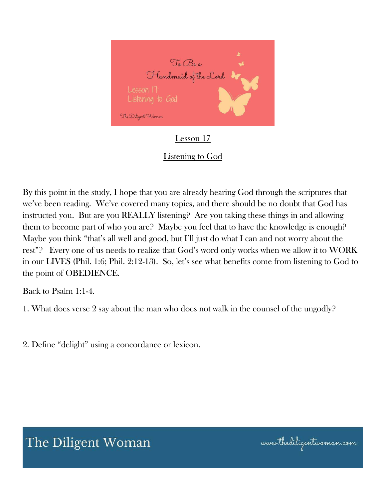

### Lesson 17

### Listening to God

By this point in the study, I hope that you are already hearing God through the scriptures that we've been reading. We've covered many topics, and there should be no doubt that God has instructed you. But are you REALLY listening? Are you taking these things in and allowing them to become part of who you are? Maybe you feel that to have the knowledge is enough? Maybe you think "that's all well and good, but I'll just do what I can and not worry about the rest"? Every one of us needs to realize that God's word only works when we allow it to WORK in our LIVES (Phil. 1:6; Phil. 2:12-13). So, let's see what benefits come from listening to God to the point of OBEDIENCE.

Back to Psalm 1:1-4.

1. What does verse 2 say about the man who does not walk in the counsel of the ungodly?

2. Define "delight" using a concordance or lexicon.

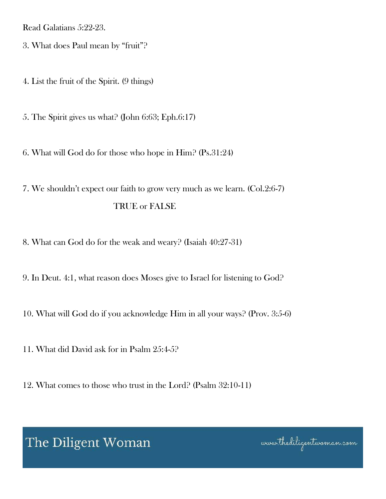Read Galatians 5:22-23.

3. What does Paul mean by "fruit"?

4. List the fruit of the Spirit. (9 things)

5. The Spirit gives us what? (John 6:63; Eph.6:17)

6. What will God do for those who hope in Him? (Ps.31:24)

7. We shouldn't expect our faith to grow very much as we learn. (Col.2:6-7) TRUE or FALSE

8. What can God do for the weak and weary? (Isaiah 40:27-31)

9. In Deut. 4:1, what reason does Moses give to Israel for listening to God?

10. What will God do if you acknowledge Him in all your ways? (Prov. 3:5-6)

11. What did David ask for in Psalm 25:4-5?

12. What comes to those who trust in the Lord? (Psalm 32:10-11)

The Diligent Woman

www.thediligentwoman.com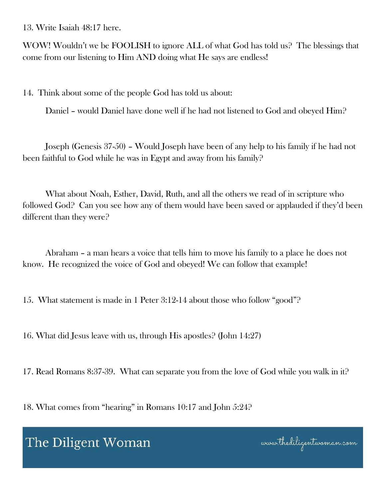13. Write Isaiah 48:17 here.

WOW! Wouldn't we be FOOLISH to ignore ALL of what God has told us? The blessings that come from our listening to Him AND doing what He says are endless!

14. Think about some of the people God has told us about:

Daniel – would Daniel have done well if he had not listened to God and obeyed Him?

 Joseph (Genesis 37-50) – Would Joseph have been of any help to his family if he had not been faithful to God while he was in Egypt and away from his family?

 What about Noah, Esther, David, Ruth, and all the others we read of in scripture who followed God? Can you see how any of them would have been saved or applauded if they'd been different than they were?

 Abraham – a man hears a voice that tells him to move his family to a place he does not know. He recognized the voice of God and obeyed! We can follow that example!

15. What statement is made in 1 Peter 3:12-14 about those who follow "good"?

16. What did Jesus leave with us, through His apostles? (John 14:27)

17. Read Romans 8:37-39. What can separate you from the love of God while you walk in it?

18. What comes from "hearing" in Romans 10:17 and John 5:24?

## The Diligent Woman

www.thediligentwoman.com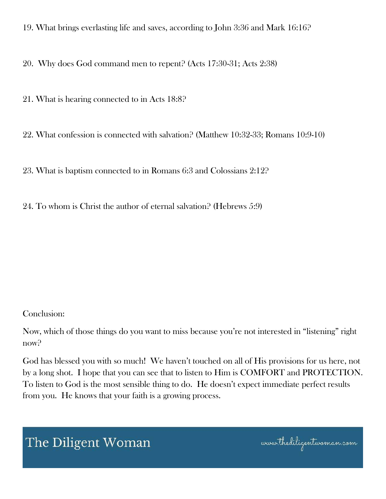19. What brings everlasting life and saves, according to John 3:36 and Mark 16:16?

20. Why does God command men to repent? (Acts 17:30-31; Acts 2:38)

21. What is hearing connected to in Acts 18:8?

22. What confession is connected with salvation? (Matthew 10:32-33; Romans 10:9-10)

23. What is baptism connected to in Romans 6:3 and Colossians 2:12?

24. To whom is Christ the author of eternal salvation? (Hebrews 5:9)

#### Conclusion:

Now, which of those things do you want to miss because you're not interested in "listening" right now?

God has blessed you with so much! We haven't touched on all of His provisions for us here, not by a long shot. I hope that you can see that to listen to Him is COMFORT and PROTECTION. To listen to God is the most sensible thing to do. He doesn't expect immediate perfect results from you. He knows that your faith is a growing process.

# The Diligent Woman

www.thediligentwoman.com